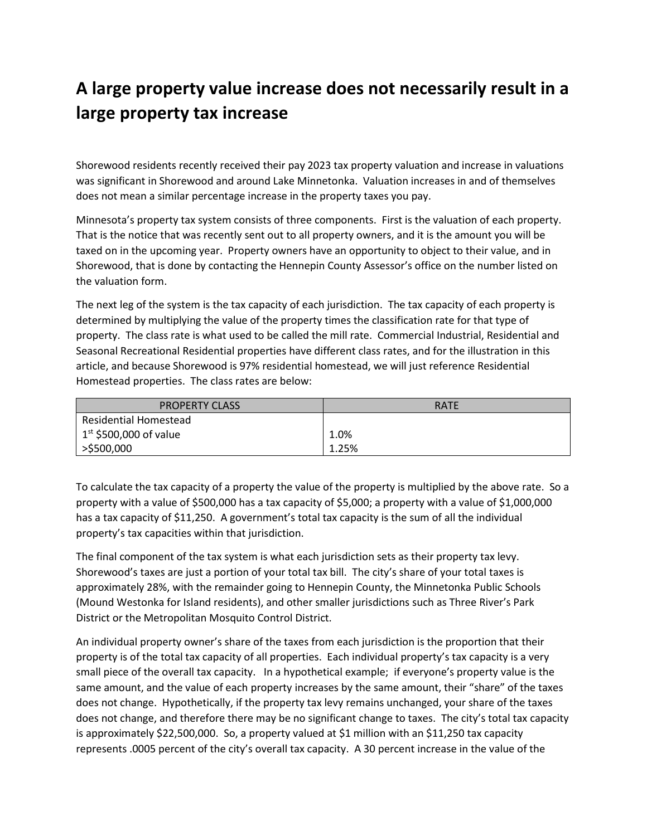## **A large property value increase does not necessarily result in a large property tax increase**

Shorewood residents recently received their pay 2023 tax property valuation and increase in valuations was significant in Shorewood and around Lake Minnetonka. Valuation increases in and of themselves does not mean a similar percentage increase in the property taxes you pay.

Minnesota's property tax system consists of three components. First is the valuation of each property. That is the notice that was recently sent out to all property owners, and it is the amount you will be taxed on in the upcoming year. Property owners have an opportunity to object to their value, and in Shorewood, that is done by contacting the Hennepin County Assessor's office on the number listed on the valuation form.

The next leg of the system is the tax capacity of each jurisdiction. The tax capacity of each property is determined by multiplying the value of the property times the classification rate for that type of property. The class rate is what used to be called the mill rate. Commercial Industrial, Residential and Seasonal Recreational Residential properties have different class rates, and for the illustration in this article, and because Shorewood is 97% residential homestead, we will just reference Residential Homestead properties. The class rates are below:

| <b>PROPERTY CLASS</b>    | <b>RATE</b> |
|--------------------------|-------------|
| Residential Homestead    |             |
| $1st$ \$500,000 of value | 1.0%        |
| >\$500,000               | 1.25%       |

To calculate the tax capacity of a property the value of the property is multiplied by the above rate. So a property with a value of \$500,000 has a tax capacity of \$5,000; a property with a value of \$1,000,000 has a tax capacity of \$11,250. A government's total tax capacity is the sum of all the individual property's tax capacities within that jurisdiction.

The final component of the tax system is what each jurisdiction sets as their property tax levy. Shorewood's taxes are just a portion of your total tax bill. The city's share of your total taxes is approximately 28%, with the remainder going to Hennepin County, the Minnetonka Public Schools (Mound Westonka for Island residents), and other smaller jurisdictions such as Three River's Park District or the Metropolitan Mosquito Control District.

An individual property owner's share of the taxes from each jurisdiction is the proportion that their property is of the total tax capacity of all properties. Each individual property's tax capacity is a very small piece of the overall tax capacity. In a hypothetical example; if everyone's property value is the same amount, and the value of each property increases by the same amount, their "share" of the taxes does not change. Hypothetically, if the property tax levy remains unchanged, your share of the taxes does not change, and therefore there may be no significant change to taxes. The city's total tax capacity is approximately \$22,500,000. So, a property valued at \$1 million with an \$11,250 tax capacity represents .0005 percent of the city's overall tax capacity. A 30 percent increase in the value of the